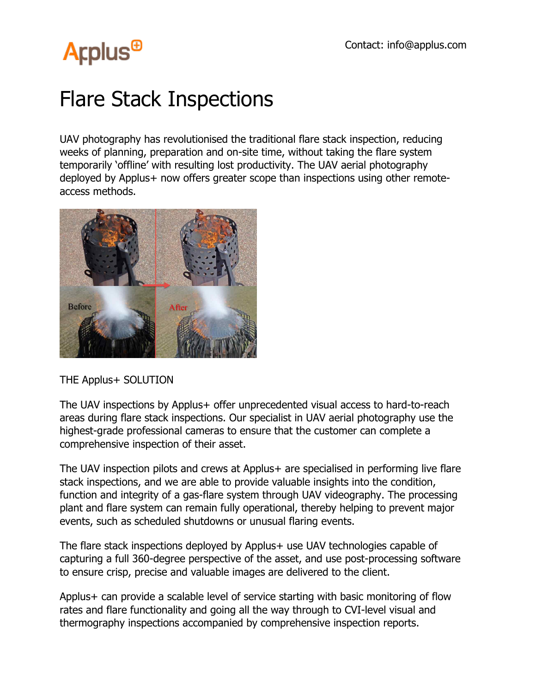## **Arplus<sup>®</sup>**

## Flare Stack Inspections

UAV photography has revolutionised the traditional flare stack inspection, reducing weeks of planning, preparation and on-site time, without taking the flare system temporarily 'offline' with resulting lost productivity. The UAV aerial photography deployed by Applus+ now offers greater scope than inspections using other remoteaccess methods.



THE Applus+ SOLUTION

The UAV inspections by Applus+ offer unprecedented visual access to hard-to-reach areas during flare stack inspections. Our specialist in UAV aerial photography use the highest-grade professional cameras to ensure that the customer can complete a comprehensive inspection of their asset.

The UAV inspection pilots and crews at Applus+ are specialised in performing live flare stack inspections, and we are able to provide valuable insights into the condition, function and integrity of a gas-flare system through UAV videography. The processing plant and flare system can remain fully operational, thereby helping to prevent major events, such as scheduled shutdowns or unusual flaring events.

The flare stack inspections deployed by Applus+ use UAV technologies capable of capturing a full 360-degree perspective of the asset, and use post-processing software to ensure crisp, precise and valuable images are delivered to the client.

Applus+ can provide a scalable level of service starting with basic monitoring of flow rates and flare functionality and going all the way through to CVI-level visual and thermography inspections accompanied by comprehensive inspection reports.